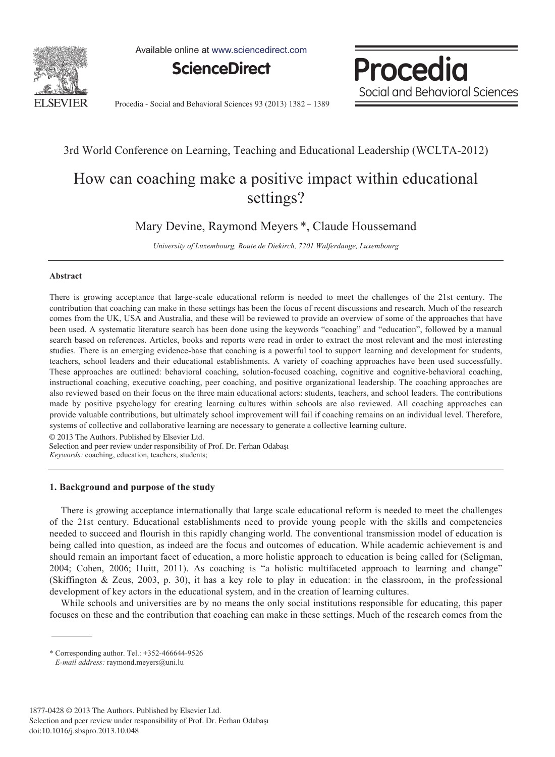

Available online at www.sciencedirect.com

**ScienceDirect**



Procedia - Social and Behavioral Sciences 93 (2013) 1382 - 1389

# 3rd World Conference on Learning, Teaching and Educational Leadership (WCLTA-2012)

# How can coaching make a positive impact within educational settings?

Mary Devine, Raymond Meyers \*, Claude Houssemand

*University of Luxembourg, Route de Diekirch, 7201 Walferdange, Luxembourg* 

#### **Abstract**

There is growing acceptance that large-scale educational reform is needed to meet the challenges of the 21st century. The contribution that coaching can make in these settings has been the focus of recent discussions and research. Much of the research comes from the UK, USA and Australia, and these will be reviewed to provide an overview of some of the approaches that have been used. A systematic literature search has been done using the keywords "coaching" and "education", followed by a manual search based on references. Articles, books and reports were read in order to extract the most relevant and the most interesting studies. There is an emerging evidence-base that coaching is a powerful tool to support learning and development for students, teachers, school leaders and their educational establishments. A variety of coaching approaches have been used successfully. These approaches are outlined: behavioral coaching, solution-focused coaching, cognitive and cognitive-behavioral coaching, instructional coaching, executive coaching, peer coaching, and positive organizational leadership. The coaching approaches are also reviewed based on their focus on the three main educational actors: students, teachers, and school leaders. The contributions made by positive psychology for creating learning cultures within schools are also reviewed. All coaching approaches can provide valuable contributions, but ultimately school improvement will fail if coaching remains on an individual level. Therefore, systems of collective and collaborative learning are necessary to generate a collective learning culture.

© 2013 The Authors. Published by Elsevier Ltd.

Selection and peer review under responsibility of Prof. Dr. Ferhan Odabaşı

*Keywords:* coaching, education, teachers, students;

# **1. Background and purpose of the study**

There is growing acceptance internationally that large scale educational reform is needed to meet the challenges of the 21st century. Educational establishments need to provide young people with the skills and competencies needed to succeed and flourish in this rapidly changing world. The conventional transmission model of education is being called into question, as indeed are the focus and outcomes of education. While academic achievement is and should remain an important facet of education, a more holistic approach to education is being called for (Seligman, 2004; Cohen, 2006; Huitt, 2011). As coaching is "a holistic multifaceted approach to learning and change" (Skiffington & Zeus, 2003, p. 30), it has a key role to play in education: in the classroom, in the professional development of key actors in the educational system, and in the creation of learning cultures.

While schools and universities are by no means the only social institutions responsible for educating, this paper focuses on these and the contribution that coaching can make in these settings. Much of the research comes from the

<sup>\*</sup> Corresponding author. Tel.: +352-466644-9526 *E-mail address:* raymond.meyers@uni.lu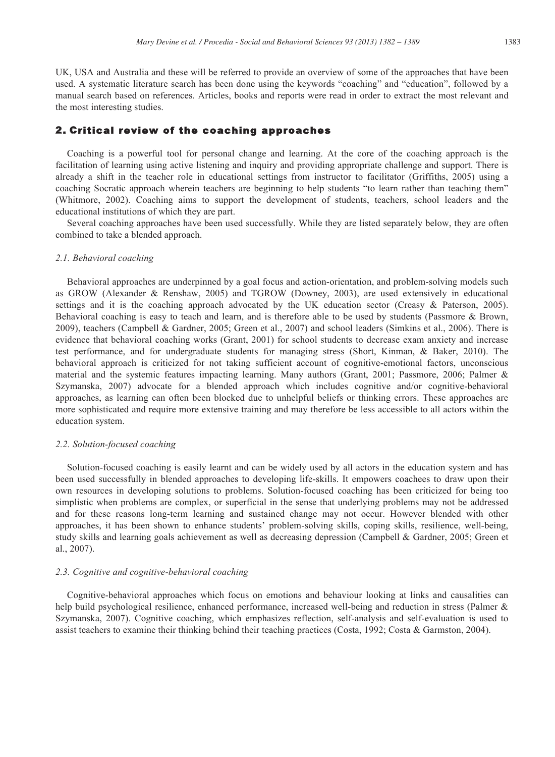UK, USA and Australia and these will be referred to provide an overview of some of the approaches that have been used. A systematic literature search has been done using the keywords "coaching" and "education", followed by a manual search based on references. Articles, books and reports were read in order to extract the most relevant and the most interesting studies.

# 2. Critical review of the coaching approaches

Coaching is a powerful tool for personal change and learning. At the core of the coaching approach is the facilitation of learning using active listening and inquiry and providing appropriate challenge and support. There is already a shift in the teacher role in educational settings from instructor to facilitator (Griffiths, 2005) using a coaching Socratic approach wherein teachers are beginning to help students "to learn rather than teaching them" (Whitmore, 2002). Coaching aims to support the development of students, teachers, school leaders and the educational institutions of which they are part.

Several coaching approaches have been used successfully. While they are listed separately below, they are often combined to take a blended approach.

#### *2.1. Behavioral coaching*

Behavioral approaches are underpinned by a goal focus and action-orientation, and problem-solving models such as GROW (Alexander & Renshaw, 2005) and TGROW (Downey, 2003), are used extensively in educational settings and it is the coaching approach advocated by the UK education sector (Creasy & Paterson, 2005). Behavioral coaching is easy to teach and learn, and is therefore able to be used by students (Passmore & Brown, 2009), teachers (Campbell & Gardner, 2005; Green et al., 2007) and school leaders (Simkins et al., 2006). There is evidence that behavioral coaching works (Grant, 2001) for school students to decrease exam anxiety and increase test performance, and for undergraduate students for managing stress (Short, Kinman, & Baker, 2010). The behavioral approach is criticized for not taking sufficient account of cognitive-emotional factors, unconscious material and the systemic features impacting learning. Many authors (Grant, 2001; Passmore, 2006; Palmer & Szymanska, 2007) advocate for a blended approach which includes cognitive and/or cognitive-behavioral approaches, as learning can often been blocked due to unhelpful beliefs or thinking errors. These approaches are more sophisticated and require more extensive training and may therefore be less accessible to all actors within the education system.

### *2.2. Solution-focused coaching*

Solution-focused coaching is easily learnt and can be widely used by all actors in the education system and has been used successfully in blended approaches to developing life-skills. It empowers coachees to draw upon their own resources in developing solutions to problems. Solution-focused coaching has been criticized for being too simplistic when problems are complex, or superficial in the sense that underlying problems may not be addressed and for these reasons long-term learning and sustained change may not occur. However blended with other approaches, it has been shown to enhance students' problem-solving skills, coping skills, resilience, well-being, study skills and learning goals achievement as well as decreasing depression (Campbell & Gardner, 2005; Green et al., 2007).

#### *2.3. Cognitive and cognitive-behavioral coaching*

Cognitive-behavioral approaches which focus on emotions and behaviour looking at links and causalities can help build psychological resilience, enhanced performance, increased well-being and reduction in stress (Palmer & Szymanska, 2007). Cognitive coaching, which emphasizes reflection, self-analysis and self-evaluation is used to assist teachers to examine their thinking behind their teaching practices (Costa, 1992; Costa & Garmston, 2004).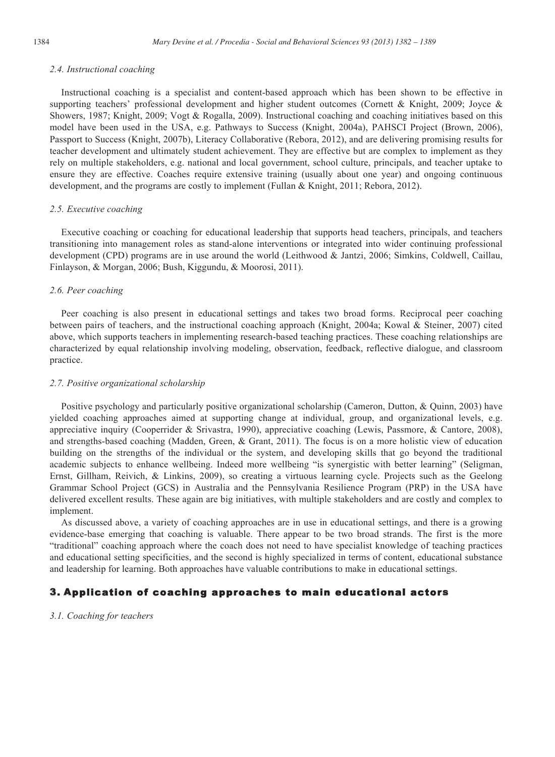#### *2.4. Instructional coaching*

Instructional coaching is a specialist and content-based approach which has been shown to be effective in supporting teachers' professional development and higher student outcomes (Cornett & Knight, 2009; Joyce & Showers, 1987; Knight, 2009; Vogt & Rogalla, 2009). Instructional coaching and coaching initiatives based on this model have been used in the USA, e.g. Pathways to Success (Knight, 2004a), PAHSCI Project (Brown, 2006), Passport to Success (Knight, 2007b), Literacy Collaborative (Rebora, 2012), and are delivering promising results for teacher development and ultimately student achievement. They are effective but are complex to implement as they rely on multiple stakeholders, e.g. national and local government, school culture, principals, and teacher uptake to ensure they are effective. Coaches require extensive training (usually about one year) and ongoing continuous development, and the programs are costly to implement (Fullan & Knight, 2011; Rebora, 2012).

#### *2.5. Executive coaching*

Executive coaching or coaching for educational leadership that supports head teachers, principals, and teachers transitioning into management roles as stand-alone interventions or integrated into wider continuing professional development (CPD) programs are in use around the world (Leithwood & Jantzi, 2006; Simkins, Coldwell, Caillau, Finlayson, & Morgan, 2006; Bush, Kiggundu, & Moorosi, 2011).

# *2.6. Peer coaching*

Peer coaching is also present in educational settings and takes two broad forms. Reciprocal peer coaching between pairs of teachers, and the instructional coaching approach (Knight, 2004a; Kowal & Steiner, 2007) cited above, which supports teachers in implementing research-based teaching practices. These coaching relationships are characterized by equal relationship involving modeling, observation, feedback, reflective dialogue, and classroom practice.

#### *2.7. Positive organizational scholarship*

Positive psychology and particularly positive organizational scholarship (Cameron, Dutton, & Quinn, 2003) have yielded coaching approaches aimed at supporting change at individual, group, and organizational levels, e.g. appreciative inquiry (Cooperrider & Srivastra, 1990), appreciative coaching (Lewis, Passmore, & Cantore, 2008), and strengths-based coaching (Madden, Green, & Grant, 2011). The focus is on a more holistic view of education building on the strengths of the individual or the system, and developing skills that go beyond the traditional academic subjects to enhance wellbeing. Indeed more wellbeing "is synergistic with better learning" (Seligman, Ernst, Gillham, Reivich, & Linkins, 2009), so creating a virtuous learning cycle. Projects such as the Geelong Grammar School Project (GCS) in Australia and the Pennsylvania Resilience Program (PRP) in the USA have delivered excellent results. These again are big initiatives, with multiple stakeholders and are costly and complex to implement.

As discussed above, a variety of coaching approaches are in use in educational settings, and there is a growing evidence-base emerging that coaching is valuable. There appear to be two broad strands. The first is the more "traditional" coaching approach where the coach does not need to have specialist knowledge of teaching practices and educational setting specificities, and the second is highly specialized in terms of content, educational substance and leadership for learning. Both approaches have valuable contributions to make in educational settings.

# 3. Application of coaching approaches to main educational actors

#### *3.1. Coaching for teachers*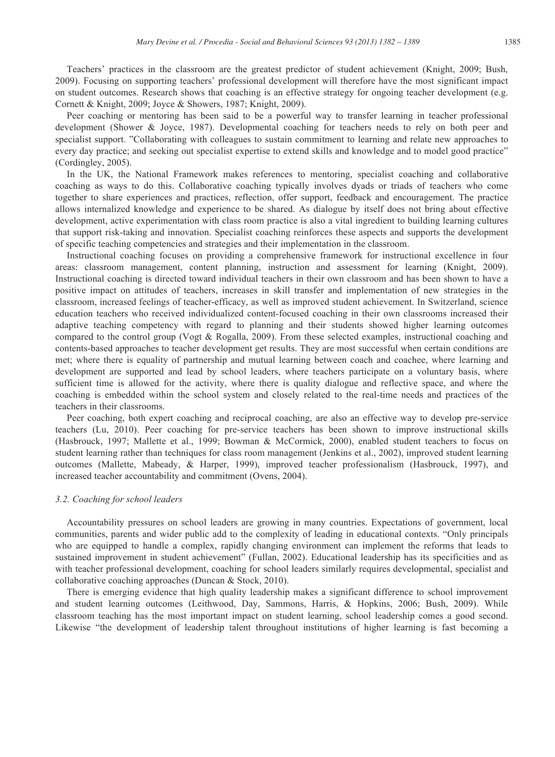Teachers' practices in the classroom are the greatest predictor of student achievement (Knight, 2009; Bush, 2009). Focusing on supporting teachers' professional development will therefore have the most significant impact on student outcomes. Research shows that coaching is an effective strategy for ongoing teacher development (e.g. Cornett & Knight, 2009; Joyce & Showers, 1987; Knight, 2009).

Peer coaching or mentoring has been said to be a powerful way to transfer learning in teacher professional development (Shower & Joyce, 1987). Developmental coaching for teachers needs to rely on both peer and specialist support. "Collaborating with colleagues to sustain commitment to learning and relate new approaches to every day practice; and seeking out specialist expertise to extend skills and knowledge and to model good practice" (Cordingley, 2005).

In the UK, the National Framework makes references to mentoring, specialist coaching and collaborative coaching as ways to do this. Collaborative coaching typically involves dyads or triads of teachers who come together to share experiences and practices, reflection, offer support, feedback and encouragement. The practice allows internalized knowledge and experience to be shared. As dialogue by itself does not bring about effective development, active experimentation with class room practice is also a vital ingredient to building learning cultures that support risk-taking and innovation. Specialist coaching reinforces these aspects and supports the development of specific teaching competencies and strategies and their implementation in the classroom.

Instructional coaching focuses on providing a comprehensive framework for instructional excellence in four areas: classroom management, content planning, instruction and assessment for learning (Knight, 2009). Instructional coaching is directed toward individual teachers in their own classroom and has been shown to have a positive impact on attitudes of teachers, increases in skill transfer and implementation of new strategies in the classroom, increased feelings of teacher-efficacy, as well as improved student achievement. In Switzerland, science education teachers who received individualized content-focused coaching in their own classrooms increased their adaptive teaching competency with regard to planning and their students showed higher learning outcomes compared to the control group (Vogt & Rogalla, 2009). From these selected examples, instructional coaching and contents-based approaches to teacher development get results. They are most successful when certain conditions are met; where there is equality of partnership and mutual learning between coach and coachee, where learning and development are supported and lead by school leaders, where teachers participate on a voluntary basis, where sufficient time is allowed for the activity, where there is quality dialogue and reflective space, and where the coaching is embedded within the school system and closely related to the real-time needs and practices of the teachers in their classrooms.

Peer coaching, both expert coaching and reciprocal coaching, are also an effective way to develop pre-service teachers (Lu, 2010). Peer coaching for pre-service teachers has been shown to improve instructional skills (Hasbrouck, 1997; Mallette et al., 1999; Bowman & McCormick, 2000), enabled student teachers to focus on student learning rather than techniques for class room management (Jenkins et al., 2002), improved student learning outcomes (Mallette, Mabeady, & Harper, 1999), improved teacher professionalism (Hasbrouck, 1997), and increased teacher accountability and commitment (Ovens, 2004).

# *3.2. Coaching for school leaders*

Accountability pressures on school leaders are growing in many countries. Expectations of government, local communities, parents and wider public add to the complexity of leading in educational contexts. "Only principals who are equipped to handle a complex, rapidly changing environment can implement the reforms that leads to sustained improvement in student achievement" (Fullan, 2002). Educational leadership has its specificities and as with teacher professional development, coaching for school leaders similarly requires developmental, specialist and collaborative coaching approaches (Duncan & Stock, 2010).

There is emerging evidence that high quality leadership makes a significant difference to school improvement and student learning outcomes (Leithwood, Day, Sammons, Harris, & Hopkins, 2006; Bush, 2009). While classroom teaching has the most important impact on student learning, school leadership comes a good second. Likewise "the development of leadership talent throughout institutions of higher learning is fast becoming a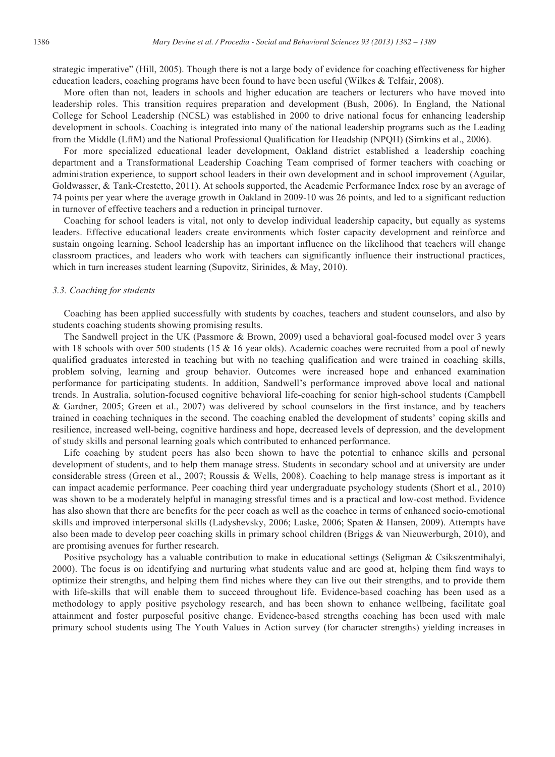strategic imperative" (Hill, 2005). Though there is not a large body of evidence for coaching effectiveness for higher education leaders, coaching programs have been found to have been useful (Wilkes & Telfair, 2008).

More often than not, leaders in schools and higher education are teachers or lecturers who have moved into leadership roles. This transition requires preparation and development (Bush, 2006). In England, the National College for School Leadership (NCSL) was established in 2000 to drive national focus for enhancing leadership development in schools. Coaching is integrated into many of the national leadership programs such as the Leading from the Middle (LftM) and the National Professional Qualification for Headship (NPQH) (Simkins et al., 2006).

For more specialized educational leader development, Oakland district established a leadership coaching department and a Transformational Leadership Coaching Team comprised of former teachers with coaching or administration experience, to support school leaders in their own development and in school improvement (Aguilar, Goldwasser, & Tank-Crestetto, 2011). At schools supported, the Academic Performance Index rose by an average of 74 points per year where the average growth in Oakland in 2009-10 was 26 points, and led to a significant reduction in turnover of effective teachers and a reduction in principal turnover.

Coaching for school leaders is vital, not only to develop individual leadership capacity, but equally as systems leaders. Effective educational leaders create environments which foster capacity development and reinforce and sustain ongoing learning. School leadership has an important influence on the likelihood that teachers will change classroom practices, and leaders who work with teachers can significantly influence their instructional practices, which in turn increases student learning (Supovitz, Sirinides, & May, 2010).

# *3.3. Coaching for students*

Coaching has been applied successfully with students by coaches, teachers and student counselors, and also by students coaching students showing promising results.

The Sandwell project in the UK (Passmore & Brown, 2009) used a behavioral goal-focused model over 3 years with 18 schools with over 500 students (15 & 16 year olds). Academic coaches were recruited from a pool of newly qualified graduates interested in teaching but with no teaching qualification and were trained in coaching skills, problem solving, learning and group behavior. Outcomes were increased hope and enhanced examination performance for participating students. In addition, Sandwell's performance improved above local and national trends. In Australia, solution-focused cognitive behavioral life-coaching for senior high-school students (Campbell & Gardner, 2005; Green et al., 2007) was delivered by school counselors in the first instance, and by teachers trained in coaching techniques in the second. The coaching enabled the development of students' coping skills and resilience, increased well-being, cognitive hardiness and hope, decreased levels of depression, and the development of study skills and personal learning goals which contributed to enhanced performance.

Life coaching by student peers has also been shown to have the potential to enhance skills and personal development of students, and to help them manage stress. Students in secondary school and at university are under considerable stress (Green et al., 2007; Roussis & Wells, 2008). Coaching to help manage stress is important as it can impact academic performance. Peer coaching third year undergraduate psychology students (Short et al., 2010) was shown to be a moderately helpful in managing stressful times and is a practical and low-cost method. Evidence has also shown that there are benefits for the peer coach as well as the coachee in terms of enhanced socio-emotional skills and improved interpersonal skills (Ladyshevsky, 2006; Laske, 2006; Spaten & Hansen, 2009). Attempts have also been made to develop peer coaching skills in primary school children (Briggs & van Nieuwerburgh, 2010), and are promising avenues for further research.

Positive psychology has a valuable contribution to make in educational settings (Seligman & Csikszentmihalyi, 2000). The focus is on identifying and nurturing what students value and are good at, helping them find ways to optimize their strengths, and helping them find niches where they can live out their strengths, and to provide them with life-skills that will enable them to succeed throughout life. Evidence-based coaching has been used as a methodology to apply positive psychology research, and has been shown to enhance wellbeing, facilitate goal attainment and foster purposeful positive change. Evidence-based strengths coaching has been used with male primary school students using The Youth Values in Action survey (for character strengths) yielding increases in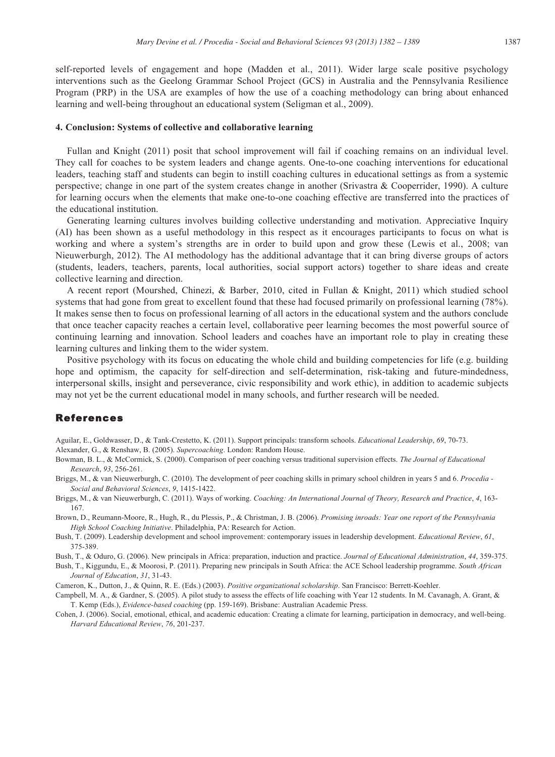self-reported levels of engagement and hope (Madden et al., 2011). Wider large scale positive psychology interventions such as the Geelong Grammar School Project (GCS) in Australia and the Pennsylvania Resilience Program (PRP) in the USA are examples of how the use of a coaching methodology can bring about enhanced learning and well-being throughout an educational system (Seligman et al., 2009).

#### **4. Conclusion: Systems of collective and collaborative learning**

Fullan and Knight (2011) posit that school improvement will fail if coaching remains on an individual level. They call for coaches to be system leaders and change agents. One-to-one coaching interventions for educational leaders, teaching staff and students can begin to instill coaching cultures in educational settings as from a systemic perspective; change in one part of the system creates change in another (Srivastra & Cooperrider, 1990). A culture for learning occurs when the elements that make one-to-one coaching effective are transferred into the practices of the educational institution.

Generating learning cultures involves building collective understanding and motivation. Appreciative Inquiry (AI) has been shown as a useful methodology in this respect as it encourages participants to focus on what is working and where a system's strengths are in order to build upon and grow these (Lewis et al., 2008; van Nieuwerburgh, 2012). The AI methodology has the additional advantage that it can bring diverse groups of actors (students, leaders, teachers, parents, local authorities, social support actors) together to share ideas and create collective learning and direction.

A recent report (Mourshed, Chinezi, & Barber, 2010, cited in Fullan & Knight, 2011) which studied school systems that had gone from great to excellent found that these had focused primarily on professional learning (78%). It makes sense then to focus on professional learning of all actors in the educational system and the authors conclude that once teacher capacity reaches a certain level, collaborative peer learning becomes the most powerful source of continuing learning and innovation. School leaders and coaches have an important role to play in creating these learning cultures and linking them to the wider system.

Positive psychology with its focus on educating the whole child and building competencies for life (e.g. building hope and optimism, the capacity for self-direction and self-determination, risk-taking and future-mindedness, interpersonal skills, insight and perseverance, civic responsibility and work ethic), in addition to academic subjects may not yet be the current educational model in many schools, and further research will be needed.

# References

Aguilar, E., Goldwasser, D., & Tank-Crestetto, K. (2011). Support principals: transform schools. *Educational Leadership*, *69*, 70-73.

- Alexander, G., & Renshaw, B. (2005). *Supercoaching*. London: Random House.
- Bowman, B. L., & McCormick, S. (2000). Comparison of peer coaching versus traditional supervision effects. *The Journal of Educational Research*, *93*, 256-261.
- Briggs, M., & van Nieuwerburgh, C. (2010). The development of peer coaching skills in primary school children in years 5 and 6. *Procedia Social and Behavioral Sciences*, *9*, 1415-1422.
- Briggs, M., & van Nieuwerburgh, C. (2011). Ways of working. *Coaching: An International Journal of Theory, Research and Practice*, *4*, 163- 167.
- Brown, D., Reumann-Moore, R., Hugh, R., du Plessis, P., & Christman, J. B. (2006). *Promising inroads: Year one report of the Pennsylvania High School Coaching Initiative*. Philadelphia, PA: Research for Action.
- Bush, T. (2009). Leadership development and school improvement: contemporary issues in leadership development. *Educational Review*, *61*, 375-389.

Bush, T., & Oduro, G. (2006). New principals in Africa: preparation, induction and practice. *Journal of Educational Administration*, *44*, 359-375.

Bush, T., Kiggundu, E., & Moorosi, P. (2011). Preparing new principals in South Africa: the ACE School leadership programme. *South African Journal of Education*, *31*, 31-43.

Cameron, K., Dutton, J., & Quinn, R. E. (Eds.) (2003). *Positive organizational scholarship*. San Francisco: Berrett-Koehler.

- Campbell, M. A., & Gardner, S. (2005). A pilot study to assess the effects of life coaching with Year 12 students. In M. Cavanagh, A. Grant, & T. Kemp (Eds.), *Evidence-based coaching* (pp. 159-169). Brisbane: Australian Academic Press.
- Cohen, J. (2006). Social, emotional, ethical, and academic education: Creating a climate for learning, participation in democracy, and well-being. *Harvard Educational Review*, *76*, 201-237.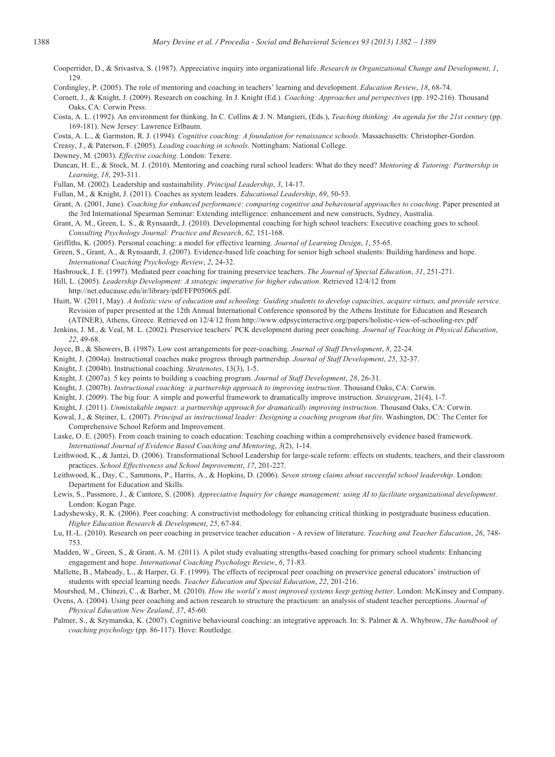- Cooperrider, D., & Srivastva, S. (1987). Appreciative inquiry into organizational life. *Research in Organizational Change and Development*, *1*, 129.
- Cordingley, P. (2005). The role of mentoring and coaching in teachers' learning and development. *Education Review*, *18*, 68-74.
- Cornett, J., & Knight, J. (2009). Research on coaching. In J. Knight (Ed.). *Coaching: Approaches and perspectives* (pp. 192-216). Thousand Oaks, CA: Corwin Press.
- Costa, A. L. (1992). An environment for thinking. In C. Collins & J. N. Mangieri, (Eds.), *Teaching thinking: An agenda for the 21st century* (pp. 169-181). New Jersey: Lawrence Erlbaum.
- Costa, A. L., & Garmston, R. J. (1994). *Cognitive coaching: A foundation for renaissance schools*. Massachusetts: Christopher-Gordon.
- Creasy, J., & Paterson, F. (2005). *Leading coaching in schools*. Nottingham: National College.
- Downey, M. (2003). *Effective coaching*. London: Texere.
- Duncan, H. E., & Stock, M. J. (2010). Mentoring and coaching rural school leaders: What do they need? *Mentoring & Tutoring: Partnership in Learning*, *18*, 293-311.
- Fullan, M. (2002). Leadership and sustainability. *Principal Leadership*, *3*, 14-17.
- Fullan, M., & Knight, J. (2011). Coaches as system leaders. *Educational Leadership*, *69*, 50-53.
- Grant, A. (2001, June). *Coaching for enhanced performance: comparing cognitive and behavioural approaches to coaching*. Paper presented at the 3rd International Spearman Seminar: Extending intelligence: enhancement and new constructs, Sydney, Australia.
- Grant, A. M., Green, L. S., & Rynsaardt, J. (2010). Developmental coaching for high school teachers: Executive coaching goes to school. *Consulting Psychology Journal: Practice and Research*, *62*, 151-168.
- Griffiths, K. (2005). Personal coaching: a model for effective learning. *Journal of Learning Design*, *1*, 55-65.
- Green, S., Grant, A., & Rynsaardt, J. (2007). Evidence-based life coaching for senior high school students: Building hardiness and hope. *International Coaching Psychology Review*, *2*, 24-32.
- Hasbrouck, J. E. (1997). Mediated peer coaching for training preservice teachers. *The Journal of Special Education*, *31*, 251-271.
- Hill, L. (2005). *Leadership Development: A strategic imperative for higher education*. Retrieved 12/4/12 from http://net.educause.edu/ir/library/pdf/FFP0506S.pdf.
- Huitt, W. (2011, May). *A holistic view of education and schooling: Guiding students to develop capacities, acquire virtues, and provide service*. Revision of paper presented at the 12th Annual International Conference sponsored by the Athens Institute for Education and Research (ATINER), Athens, Greece. Retrieved on 12/4/12 from http://www.edpsycinteractive.org/papers/holistic-view-of-schooling-rev.pdf
- Jenkins, J. M., & Veal, M. L. (2002). Preservice teachers' PCK development during peer coaching. *Journal of Teaching in Physical Education*, *22*, 49-68.
- Joyce, B., & Showers, B. (1987). Low cost arrangements for peer-coaching. *Journal of Staff Development*, *8*, 22-24.
- Knight, J. (2004a). Instructional coaches make progress through partnership. *Journal of Staff Development*, *25*, 32-37.
- Knight, J. (2004b). Instructional coaching. *Stratenotes*, 13(3), 1-5.
- Knight, J. (2007a). 5 key points to building a coaching program. *Journal of Staff Development*, *28*, 26-31.
- Knight, J. (2007b). *Instructional coaching: a partnership approach to improving instruction*. Thousand Oaks, CA: Corwin.
- Knight, J. (2009). The big four: A simple and powerful framework to dramatically improve instruction. *Strategram*, 21(4), 1-7.
- Knight, J. (2011). *Unmistakable impact: a partnership approach for dramatically improving instruction*. Thousand Oaks, CA: Corwin.
- Kowal, J., & Steiner, L. (2007). *Principal as instructional leader: Designing a coaching program that fits*. Washington, DC: The Center for Comprehensive School Reform and Improvement.
- Laske, O. E. (2005). From coach training to coach education: Teaching coaching within a comprehensively evidence based framework. *International Journal of Evidence Based Coaching and Mentoring*, *3*(2), 1-14.
- Leithwood, K., & Jantzi, D. (2006). Transformational School Leadership for large-scale reform: effects on students, teachers, and their classroom practices. *School Effectiveness and School Improvement*, *17*, 201-227.
- Leithwood, K., Day, C., Sammons, P., Harris, A., & Hopkins, D. (2006). *Seven strong claims about successful school leadership*. London: Department for Education and Skills.
- Lewis, S., Passmore, J., & Cantore, S. (2008). *Appreciative Inquiry for change management: using AI to facilitate organizational development*. London: Kogan Page.
- Ladyshewsky, R. K. (2006). Peer coaching: A constructivist methodology for enhancing critical thinking in postgraduate business education. *Higher Education Research & Development*, *25*, 67-84.
- Lu, H.-L. (2010). Research on peer coaching in preservice teacher education A review of literature. *Teaching and Teacher Education*, *26*, 748- 753.
- Madden, W., Green, S., & Grant, A. M. (2011). A pilot study evaluating strengths-based coaching for primary school students: Enhancing engagement and hope. *International Coaching Psychology Review*, *6*, 71-83.
- Mallette, B., Mabeady, L., & Harper, G. F. (1999). The effects of reciprocal peer coaching on preservice general educators' instruction of students with special learning needs. *Teacher Education and Special Education*, *22*, 201-216.
- Mourshed, M., Chinezi, C., & Barber, M. (2010). *How the world's most improved systems keep getting better*. London: McKinsey and Company.
- Ovens, A. (2004). Using peer coaching and action research to structure the practicum: an analysis of student teacher perceptions. *Journal of Physical Education New Zealand*, *37*, 45-60.
- Palmer, S., & Szymanska, K. (2007). Cognitive behavioural coaching: an integrative approach. In: S. Palmer & A. Whybrow, *The handbook of coaching psychology* (pp. 86-117). Hove: Routledge.